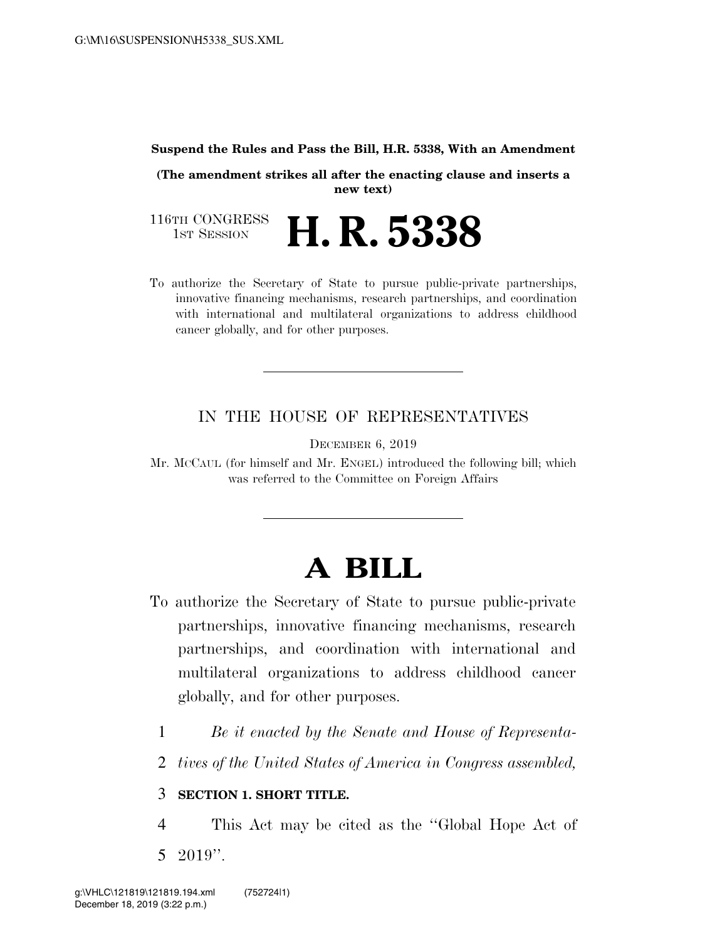#### **Suspend the Rules and Pass the Bill, H.R. 5338, With an Amendment**

**(The amendment strikes all after the enacting clause and inserts a new text)** 

116TH CONGRESS<br>1st Session H. R. 5338

To authorize the Secretary of State to pursue public-private partnerships, innovative financing mechanisms, research partnerships, and coordination with international and multilateral organizations to address childhood cancer globally, and for other purposes.

#### IN THE HOUSE OF REPRESENTATIVES

DECEMBER 6, 2019

Mr. MCCAUL (for himself and Mr. ENGEL) introduced the following bill; which was referred to the Committee on Foreign Affairs

# **A BILL**

- To authorize the Secretary of State to pursue public-private partnerships, innovative financing mechanisms, research partnerships, and coordination with international and multilateral organizations to address childhood cancer globally, and for other purposes.
	- 1 *Be it enacted by the Senate and House of Representa-*
	- 2 *tives of the United States of America in Congress assembled,*

#### 3 **SECTION 1. SHORT TITLE.**

4 This Act may be cited as the ''Global Hope Act of 5 2019''.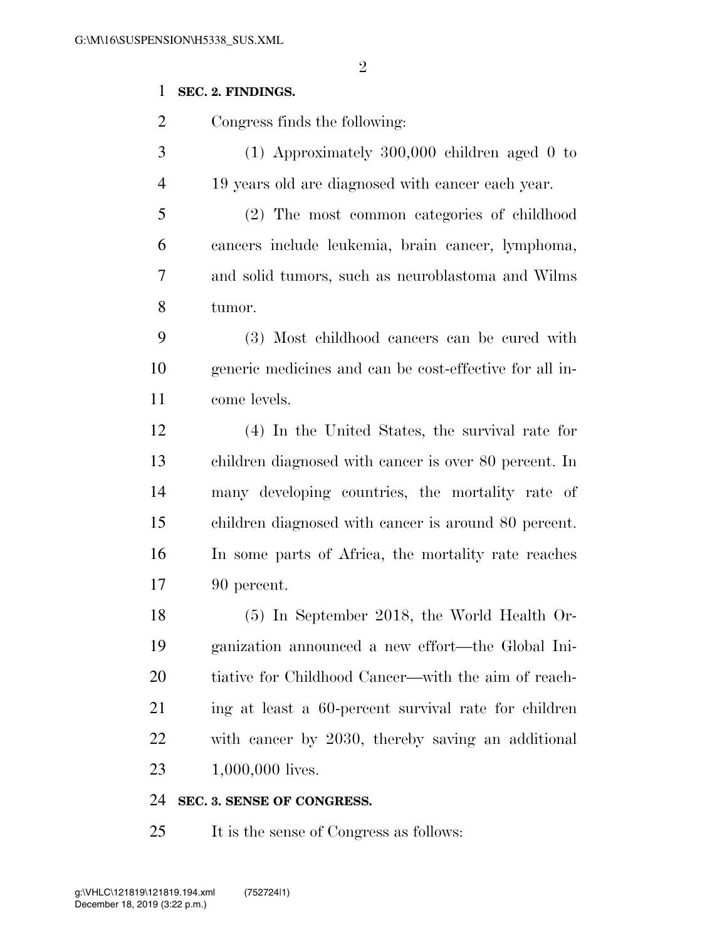#### **SEC. 2. FINDINGS.**

Congress finds the following:

 (1) Approximately 300,000 children aged 0 to 19 years old are diagnosed with cancer each year.

 (2) The most common categories of childhood cancers include leukemia, brain cancer, lymphoma, and solid tumors, such as neuroblastoma and Wilms tumor.

 (3) Most childhood cancers can be cured with generic medicines and can be cost-effective for all in-come levels.

 (4) In the United States, the survival rate for children diagnosed with cancer is over 80 percent. In many developing countries, the mortality rate of children diagnosed with cancer is around 80 percent. In some parts of Africa, the mortality rate reaches 90 percent.

 (5) In September 2018, the World Health Or- ganization announced a new effort—the Global Ini- tiative for Childhood Cancer—with the aim of reach- ing at least a 60-percent survival rate for children with cancer by 2030, thereby saving an additional 1,000,000 lives.

#### **SEC. 3. SENSE OF CONGRESS.**

It is the sense of Congress as follows: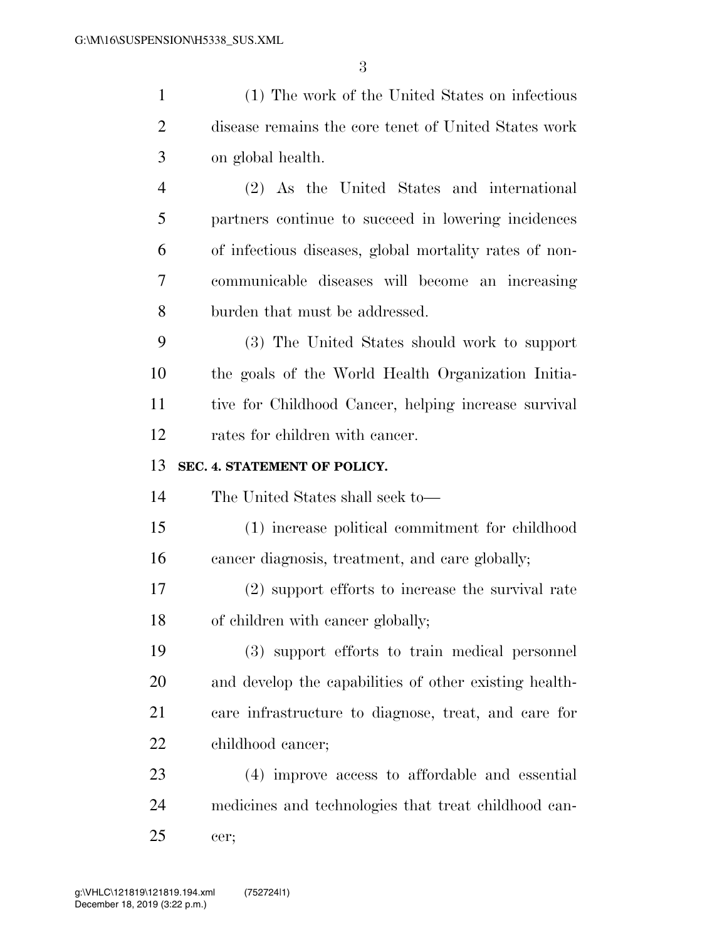| $\mathbf{1}$   | (1) The work of the United States on infectious        |
|----------------|--------------------------------------------------------|
| $\overline{2}$ | disease remains the core tenet of United States work   |
| 3              | on global health.                                      |
| $\overline{4}$ | (2) As the United States and international             |
| 5              | partners continue to succeed in lowering incidences    |
| 6              | of infectious diseases, global mortality rates of non- |
| 7              | communicable diseases will become an increasing        |
| 8              | burden that must be addressed.                         |
| 9              | (3) The United States should work to support           |
| 10             | the goals of the World Health Organization Initia-     |
| 11             | tive for Childhood Cancer, helping increase survival   |
| 12             | rates for children with cancer.                        |
| 13             | SEC. 4. STATEMENT OF POLICY.                           |
| 14             | The United States shall seek to—                       |
| 15             | (1) increase political commitment for childhood        |
|                |                                                        |
| 16             | cancer diagnosis, treatment, and care globally;        |
| 17             | $(2)$ support efforts to increase the survival rate    |
| 18             | of children with cancer globally;                      |
| 19             | (3) support efforts to train medical personnel         |
| 20             | and develop the capabilities of other existing health- |
| 21             | care infrastructure to diagnose, treat, and care for   |
| 22             | childhood cancer;                                      |
| 23             | (4) improve access to affordable and essential         |
| 24             | medicines and technologies that treat childhood can-   |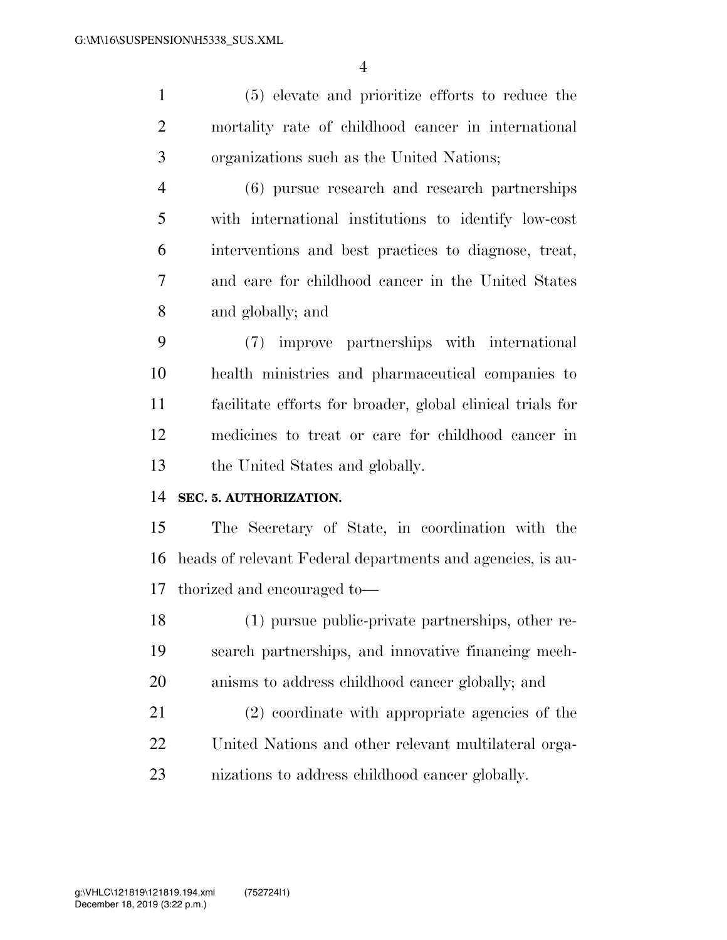(5) elevate and prioritize efforts to reduce the mortality rate of childhood cancer in international organizations such as the United Nations;

 (6) pursue research and research partnerships with international institutions to identify low-cost interventions and best practices to diagnose, treat, and care for childhood cancer in the United States and globally; and

 (7) improve partnerships with international health ministries and pharmaceutical companies to facilitate efforts for broader, global clinical trials for medicines to treat or care for childhood cancer in the United States and globally.

#### **SEC. 5. AUTHORIZATION.**

 The Secretary of State, in coordination with the heads of relevant Federal departments and agencies, is au-thorized and encouraged to—

 (1) pursue public-private partnerships, other re- search partnerships, and innovative financing mech-anisms to address childhood cancer globally; and

 (2) coordinate with appropriate agencies of the United Nations and other relevant multilateral orga-nizations to address childhood cancer globally.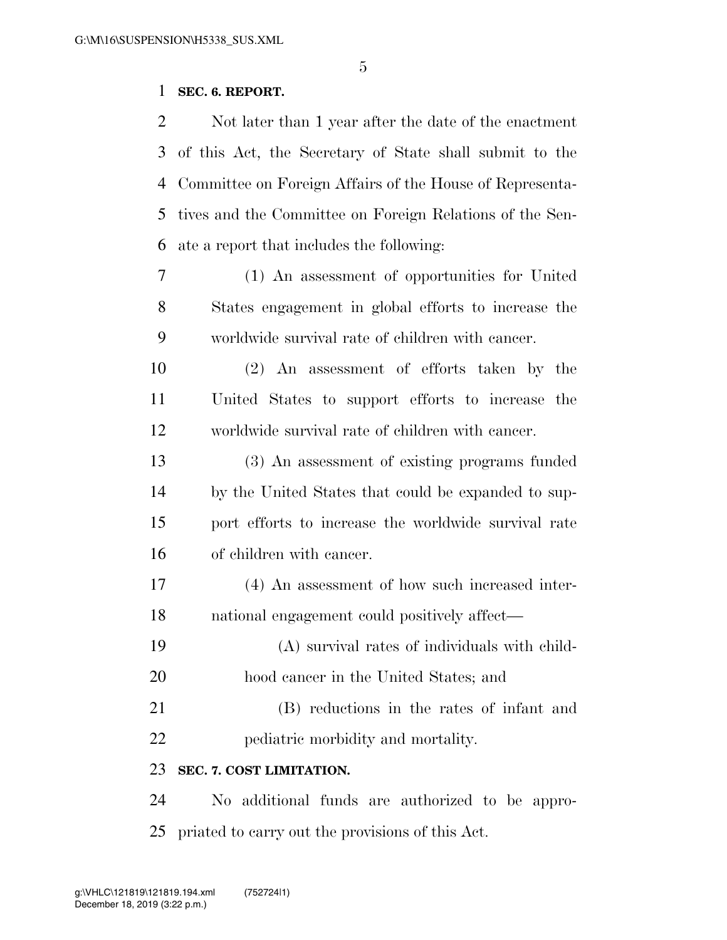#### **SEC. 6. REPORT.**

 Not later than 1 year after the date of the enactment of this Act, the Secretary of State shall submit to the Committee on Foreign Affairs of the House of Representa- tives and the Committee on Foreign Relations of the Sen-ate a report that includes the following:

 (1) An assessment of opportunities for United States engagement in global efforts to increase the worldwide survival rate of children with cancer.

 (2) An assessment of efforts taken by the United States to support efforts to increase the worldwide survival rate of children with cancer.

 (3) An assessment of existing programs funded by the United States that could be expanded to sup- port efforts to increase the worldwide survival rate of children with cancer.

 (4) An assessment of how such increased inter-national engagement could positively affect—

 (A) survival rates of individuals with child-hood cancer in the United States; and

 (B) reductions in the rates of infant and pediatric morbidity and mortality.

### **SEC. 7. COST LIMITATION.**

 No additional funds are authorized to be appro-priated to carry out the provisions of this Act.